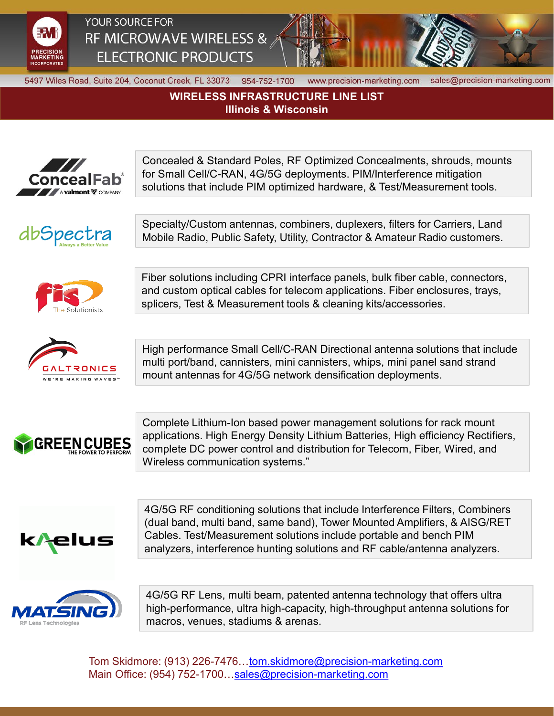

## YOUR SOURCE FOR RF MICROWAVE WIRELESS & **ELECTRONIC PRODUCTS**



5497 Wiles Road, Suite 204, Coconut Creek, FL 33073 954-752-1700

www.precision-marketing.com

sales@precision-marketing.com

**WIRELESS INFRASTRUCTURE LINE LIST Illinois & Wisconsin**







Specialty/Custom antennas, combiners, duplexers, filters for Carriers, Land Mobile Radio, Public Safety, Utility, Contractor & Amateur Radio customers.



Fiber solutions including CPRI interface panels, bulk fiber cable, connectors, and custom optical cables for telecom applications. Fiber enclosures, trays, splicers, Test & Measurement tools & cleaning kits/accessories.



High performance Small Cell/C-RAN Directional antenna solutions that include multi port/band, cannisters, mini cannisters, whips, mini panel sand strand mount antennas for 4G/5G network densification deployments.



Complete Lithium-Ion based power management solutions for rack mount applications. High Energy Density Lithium Batteries, High efficiency Rectifiers, complete DC power control and distribution for Telecom, Fiber, Wired, and Wireless communication systems."



4G/5G RF conditioning solutions that include Interference Filters, Combiners (dual band, multi band, same band), Tower Mounted Amplifiers, & AISG/RET Cables. Test/Measurement solutions include portable and bench PIM analyzers, interference hunting solutions and RF cable/antenna analyzers.



4G/5G RF Lens, multi beam, patented antenna technology that offers ultra high-performance, ultra high-capacity, high-throughput antenna solutions for macros, venues, stadiums & arenas.

Tom Skidmore: (913) 226-7476[…tom.skidmore@precision-marketing.com](mailto:tom.skidmore@precision-marketing.com) Main Office: (954) 752-1700[…sales@precision-marketing.com](mailto:sales@precision-marketing.com)